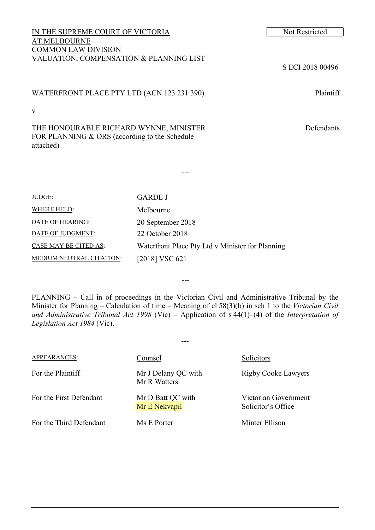### IN THE SUPREME COURT OF VICTORIA Not Restricted AT MELBOURNE COMMON LAW DIVISION VALUATION, COMPENSATION & PLANNING LIST

v

THE HONOURABLE RICHARD WYNNE, MINISTER FOR PLANNING & ORS (according to the Schedule attached)

JUDGE: GARDE J WHERE HELD: Melbourne DATE OF HEARING: 20 September 2018 DATE OF JUDGMENT: 22 October 2018 CASE MAY BE CITED AS: Waterfront Place Pty Ltd v Minister for Planning MEDIUM NEUTRAL CITATION: [2018] VSC 621

PLANNING – Call in of proceedings in the Victorian Civil and Administrative Tribunal by the Minister for Planning – Calculation of time – Meaning of cl 58(3)(b) in sch 1 to the *Victorian Civil and Administrative Tribunal Act 1998* (Vic) – Application of s 44(1)–(4) of the *Interpretation of Legislation Act 1984* (Vic).

---

---

| <b>APPEARANCES:</b>     | Counsel                             | Solicitors                                 |
|-------------------------|-------------------------------------|--------------------------------------------|
| For the Plaintiff       | Mr J Delany QC with<br>Mr R Watters | <b>Rigby Cooke Lawyers</b>                 |
| For the First Defendant | Mr D Batt QC with<br>Mr E Nekvapil  | Victorian Government<br>Solicitor's Office |
| For the Third Defendant | Ms E Porter                         | Minter Ellison                             |

S ECI 2018 00496

Defendants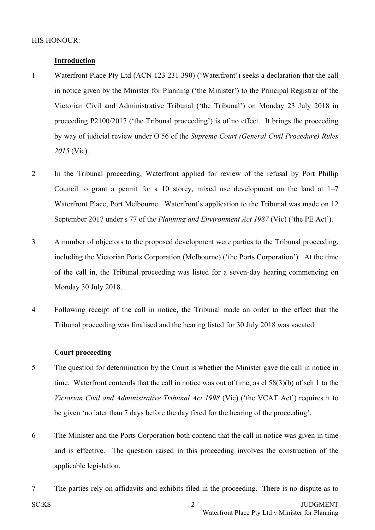## **Introduction**

- 1 Waterfront Place Pty Ltd (ACN 123 231 390) ('Waterfront') seeks a declaration that the call in notice given by the Minister for Planning ('the Minister') to the Principal Registrar of the Victorian Civil and Administrative Tribunal ('the Tribunal') on Monday 23 July 2018 in proceeding P2100/2017 ('the Tribunal proceeding') is of no effect. It brings the proceeding by way of judicial review under O 56 of the *Supreme Court (General Civil Procedure) Rules 2015* (Vic).
- 2 In the Tribunal proceeding, Waterfront applied for review of the refusal by Port Phillip Council to grant a permit for a 10 storey, mixed use development on the land at 1–7 Waterfront Place, Port Melbourne. Waterfront's application to the Tribunal was made on 12 September 2017 under s 77 of the *Planning and Environment Act 1987* (Vic) ('the PE Act').
- 3 A number of objectors to the proposed development were parties to the Tribunal proceeding, including the Victorian Ports Corporation (Melbourne) ('the Ports Corporation'). At the time of the call in, the Tribunal proceeding was listed for a seven-day hearing commencing on Monday 30 July 2018.
- 4 Following receipt of the call in notice, the Tribunal made an order to the effect that the Tribunal proceeding was finalised and the hearing listed for 30 July 2018 was vacated.

### **Court proceeding**

- 5 The question for determination by the Court is whether the Minister gave the call in notice in time. Waterfront contends that the call in notice was out of time, as cl 58(3)(b) of sch 1 to the *Victorian Civil and Administrative Tribunal Act 1998* (Vic) ('the VCAT Act') requires it to be given 'no later than 7 days before the day fixed for the hearing of the proceeding'.
- 6 The Minister and the Ports Corporation both contend that the call in notice was given in time and is effective. The question raised in this proceeding involves the construction of the applicable legislation.
- SC:KS 2 JUDGMENT Waterfront Place Pty Ltd v Minister for Planning 7 The parties rely on affidavits and exhibits filed in the proceeding. There is no dispute as to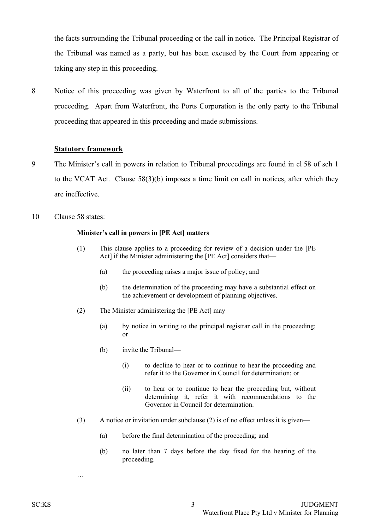the facts surrounding the Tribunal proceeding or the call in notice. The Principal Registrar of the Tribunal was named as a party, but has been excused by the Court from appearing or taking any step in this proceeding.

8 Notice of this proceeding was given by Waterfront to all of the parties to the Tribunal proceeding. Apart from Waterfront, the Ports Corporation is the only party to the Tribunal proceeding that appeared in this proceeding and made submissions.

#### **Statutory framework**

- 9 The Minister's call in powers in relation to Tribunal proceedings are found in cl 58 of sch 1 to the VCAT Act. Clause 58(3)(b) imposes a time limit on call in notices, after which they are ineffective.
- 10 Clause 58 states:

#### **Minister's call in powers in [PE Act] matters**

- (1) This clause applies to a proceeding for review of a decision under the [\[PE](http://www8.austlii.edu.au/cgi-bin/viewdoc/au/legis/vic/consol_act/paea1987254/) Act] if the Minister administering the [PE Act] considers that—
	- (a) the proceeding raises a major issue of policy; and
	- (b) the determination of the proceeding may have a substantial effect on the achievement or development of planning objectives.
- (2) The Minister administering the [PE Act] may—
	- (a) by notice in writing to the principal registrar call in the proceeding; or
	- (b) invite the Tribunal—
		- (i) to decline to hear or to continue to hear the proceeding and refer it to the Governor in Council for determination; or
		- (ii) to hear or to continue to hear the proceeding but, without determining it, refer it with recommendations to the Governor in Council for determination.
- (3) A notice or invitation under subclause (2) is of no effect unless it is given—
	- (a) before the final determination of the proceeding; and
	- (b) no later than 7 days before the day fixed for the hearing of the proceeding.

…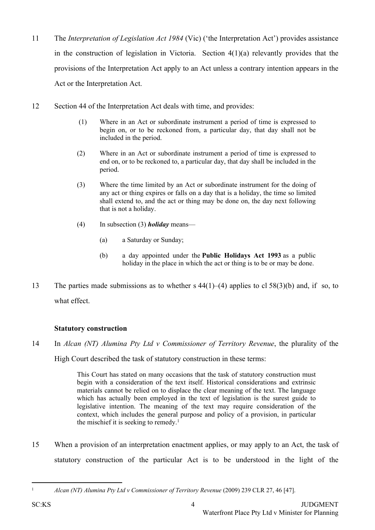- 11 The *Interpretation of Legislation Act 1984* (Vic) ('the Interpretation Act') provides assistance in the construction of legislation in Victoria. Section 4(1)(a) relevantly provides that the provisions of the Interpretation Act apply to an Act unless a contrary intention appears in the Act or the Interpretation Act.
- 12 Section 44 of the Interpretation Act deals with time, and provides:
	- (1) Where in an Act or subordinate instrument a period of time is expressed to begin on, or to be reckoned from, a particular day, that day [shall](http://www6.austlii.edu.au/cgi-bin/viewdoc/au/legis/vic/consol_act/iola1984322/s45.html#shall) not be included in the period.
	- (2) Where in an Act or subordinate instrument a period of time is expressed to end on, or to be reckoned to, a particular day, that day [shall](http://www6.austlii.edu.au/cgi-bin/viewdoc/au/legis/vic/consol_act/iola1984322/s45.html#shall) be included in the period.
	- (3) Where the time limited by an Act or subordinate instrument for the doing of any act or thing expires or falls on a day that is a holiday, the time so limited [shall](http://www6.austlii.edu.au/cgi-bin/viewdoc/au/legis/vic/consol_act/iola1984322/s45.html#shall) extend to, and the act or thing may be done on, the day next following that is not a holiday.
	- (4) In subsection (3) *holiday* means—
		- (a) a Saturday or Sunday;
		- (b) a day appointed under the **[Public](http://www6.austlii.edu.au/cgi-bin/viewdoc/au/legis/vic/consol_act/pha1993163/) [Holidays](http://www6.austlii.edu.au/cgi-bin/viewdoc/au/legis/vic/consol_act/pha1993163/) [Act](http://www6.austlii.edu.au/cgi-bin/viewdoc/au/legis/vic/consol_act/pha1993163/) [1993](http://www6.austlii.edu.au/cgi-bin/viewdoc/au/legis/vic/consol_act/pha1993163/)** as a public holiday in the place in which the act or thing is to be or may be done.
- 13 The parties made submissions as to whether s 44(1)–(4) applies to cl 58(3)(b) and, if so, to what effect.

# **Statutory construction**

14 In *Alcan (NT) Alumina Pty Ltd v Commissioner of Territory Revenue*, the plurality of the

High Court described the task of statutory construction in these terms:

This Court has stated on many occasions that the task of statutory construction must begin with a consideration of the text itself. Historical considerations and extrinsic materials cannot be relied on to displace the clear meaning of the text. The language which has actually been employed in the text of legislation is the surest guide to legislative intention. The meaning of the text may require consideration of the context, which includes the general purpose and policy of a provision, in particular the mischief it is seeking to remedy.<sup>1</sup>

15 When a provision of an interpretation enactment applies, or may apply to an Act, the task of statutory construction of the particular Act is to be understood in the light of the

<sup>1</sup> *Alcan (NT) Alumina Pty Ltd v Commissioner of Territory Revenue* (2009) 239 CLR 27, 46 [47].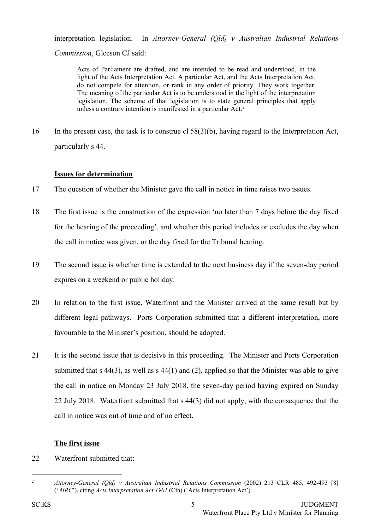interpretation legislation. In *Attorney-General (Qld) v Australian Industrial Relations*

*Commission*, Gleeson CJ said:

Acts of Parliament are drafted, and are intended to be read and understood, in the light of the Acts Interpretation Act. A particular Act, and the Acts Interpretation Act, do not compete for attention, or rank in any order of priority. They work together. The meaning of the particular Act is to be understood in the light of the interpretation legislation. The scheme of that legislation is to state general principles that apply unless a contrary intention is manifested in a particular Act.<sup>2</sup>

16 In the present case, the task is to construe cl 58(3)(b), having regard to the Interpretation Act, particularly s 44.

# **Issues for determination**

- 17 The question of whether the Minister gave the call in notice in time raises two issues.
- 18 The first issue is the construction of the expression 'no later than 7 days before the day fixed for the hearing of the proceeding', and whether this period includes or excludes the day when the call in notice was given, or the day fixed for the Tribunal hearing.
- 19 The second issue is whether time is extended to the next business day if the seven-day period expires on a weekend or public holiday.
- 20 In relation to the first issue, Waterfront and the Minister arrived at the same result but by different legal pathways. Ports Corporation submitted that a different interpretation, more favourable to the Minister's position, should be adopted.
- 21 It is the second issue that is decisive in this proceeding. The Minister and Ports Corporation submitted that s 44(3), as well as s 44(1) and (2), applied so that the Minister was able to give the call in notice on Monday 23 July 2018, the seven-day period having expired on Sunday 22 July 2018. Waterfront submitted that s 44(3) did not apply, with the consequence that the call in notice was out of time and of no effect.

# **The first issue**

22 Waterfront submitted that:

<sup>2</sup> *Attorney-General (Qld) v Australian Industrial Relations Commission* (2002) 213 CLR 485, 492-493 [8] ('*AIRC*'), citing *Acts Interpretation Act 1901* (Cth) ('Acts Interpretation Act').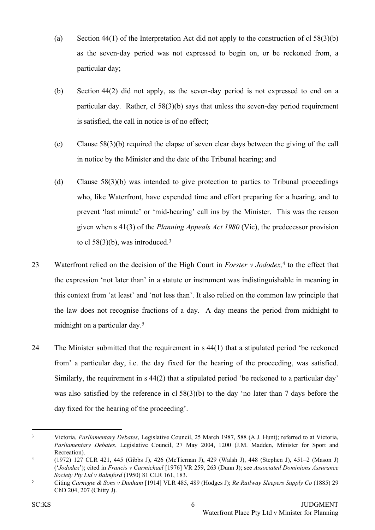- (a) Section 44(1) of the Interpretation Act did not apply to the construction of cl  $58(3)(b)$ as the seven-day period was not expressed to begin on, or be reckoned from, a particular day;
- (b) Section 44(2) did not apply, as the seven-day period is not expressed to end on a particular day. Rather, cl 58(3)(b) says that unless the seven-day period requirement is satisfied, the call in notice is of no effect;
- (c) Clause 58(3)(b) required the elapse of seven clear days between the giving of the call in notice by the Minister and the date of the Tribunal hearing; and
- (d) Clause 58(3)(b) was intended to give protection to parties to Tribunal proceedings who, like Waterfront, have expended time and effort preparing for a hearing, and to prevent 'last minute' or 'mid-hearing' call ins by the Minister. This was the reason given when s 41(3) of the *Planning Appeals Act 1980* (Vic), the predecessor provision to cl  $58(3)(b)$ , was introduced.<sup>3</sup>
- 23 Waterfront relied on the decision of the High Court in *Forster v Jododex,*<sup>4</sup> to the effect that the expression 'not later than' in a statute or instrument was indistinguishable in meaning in this context from 'at least' and 'not less than'. It also relied on the common law principle that the law does not recognise fractions of a day. A day means the period from midnight to midnight on a particular day.<sup>5</sup>
- 24 The Minister submitted that the requirement in s 44(1) that a stipulated period 'be reckoned from' a particular day, i.e. the day fixed for the hearing of the proceeding, was satisfied. Similarly, the requirement in s 44(2) that a stipulated period 'be reckoned to a particular day' was also satisfied by the reference in cl 58(3)(b) to the day 'no later than 7 days before the day fixed for the hearing of the proceeding'.

<sup>3</sup> Victoria, *Parliamentary Debates*, Legislative Council, 25 March 1987, 588 (A.J. Hunt); referred to at Victoria, *Parliamentary Debates*, Legislative Council, 27 May 2004, 1200 (J.M. Madden, Minister for Sport and Recreation).

<sup>4</sup> (1972) 127 CLR 421, 445 (Gibbs J), 426 (McTiernan J), 429 (Walsh J), 448 (Stephen J), 451–2 (Mason J) ('*Jododex*'); cited in *Francis v Carmichael* [1976] VR 259, 263 (Dunn J); see *Associated Dominions Assurance Society Pty Ltd v Balmford* (1950) 81 CLR 161, 183.

<sup>5</sup> Citing *Carnegie & Sons v Dunham* [1914] VLR 485, 489 (Hodges J); *Re Railway Sleepers Supply Co* (1885) 29 ChD 204, 207 (Chitty J).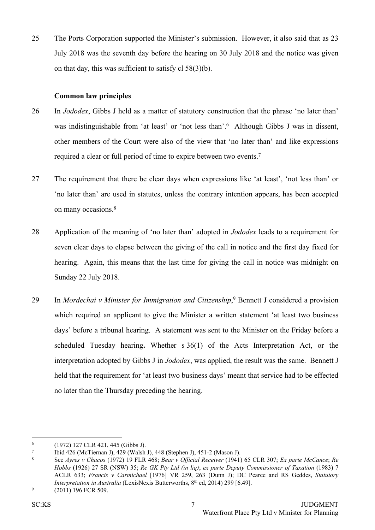25 The Ports Corporation supported the Minister's submission. However, it also said that as 23 July 2018 was the seventh day before the hearing on 30 July 2018 and the notice was given on that day, this was sufficient to satisfy cl 58(3)(b).

### **Common law principles**

- 26 In *Jododex*, Gibbs J held as a matter of statutory construction that the phrase 'no later than' was indistinguishable from 'at least' or 'not less than'.<sup>6</sup> Although Gibbs J was in dissent, other members of the Court were also of the view that 'no later than' and like expressions required a clear or full period of time to expire between two events.<sup>7</sup>
- 27 The requirement that there be clear days when expressions like 'at least', 'not less than' or 'no later than' are used in statutes, unless the contrary intention appears, has been accepted on many occasions.<sup>8</sup>
- 28 Application of the meaning of 'no later than' adopted in *Jododex* leads to a requirement for seven clear days to elapse between the giving of the call in notice and the first day fixed for hearing. Again, this means that the last time for giving the call in notice was midnight on Sunday 22 July 2018.
- 29 In *Mordechai v Minister for Immigration and Citizenship*, <sup>9</sup> Bennett J considered a provision which required an applicant to give the Minister a written statement 'at least two business days' before a tribunal hearing. A statement was sent to the Minister on the Friday before a scheduled Tuesday hearing**.** Whether s 36(1) of the Acts Interpretation Act, or the interpretation adopted by Gibbs J in *Jododex*, was applied, the result was the same. Bennett J held that the requirement for 'at least two business days' meant that service had to be effected no later than the Thursday preceding the hearing.

<sup>6</sup> (1972) 127 CLR 421, 445 (Gibbs J).

<sup>7</sup> Ibid 426 (McTiernan J), 429 (Walsh J), 448 (Stephen J), 451-2 (Mason J).

<sup>8</sup> See *Ayres v Chacos* (1972) 19 FLR 468; *Bear v Official Receiver* (1941) 65 CLR 307; *Ex parte McCance*; *Re Hobbs* (1926) 27 SR (NSW) 35; *Re GK Pty Ltd (in liq)*; *ex parte Deputy Commissioner of Taxation* (1983) 7 ACLR 633; *Francis v Carmichael* [1976] VR 259, 263 (Dunn J); DC Pearce and RS Geddes, *Statutory Interpretation in Australia* (LexisNexis Butterworths, 8 th ed, 2014) 299 [6.49].

<sup>9</sup> (2011) 196 FCR 509.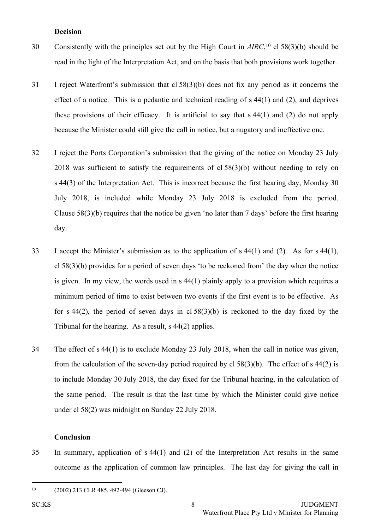#### **Decision**

- 30 Consistently with the principles set out by the High Court in *AIRC*, <sup>10</sup> cl 58(3)(b) should be read in the light of the Interpretation Act, and on the basis that both provisions work together.
- 31 I reject Waterfront's submission that cl 58(3)(b) does not fix any period as it concerns the effect of a notice. This is a pedantic and technical reading of s 44(1) and (2), and deprives these provisions of their efficacy. It is artificial to say that s 44(1) and (2) do not apply because the Minister could still give the call in notice, but a nugatory and ineffective one.
- 32 I reject the Ports Corporation's submission that the giving of the notice on Monday 23 July 2018 was sufficient to satisfy the requirements of cl 58(3)(b) without needing to rely on s 44(3) of the Interpretation Act. This is incorrect because the first hearing day, Monday 30 July 2018, is included while Monday 23 July 2018 is excluded from the period. Clause 58(3)(b) requires that the notice be given 'no later than 7 days' before the first hearing day.
- 33 I accept the Minister's submission as to the application of s 44(1) and (2). As for s 44(1), cl 58(3)(b) provides for a period of seven days 'to be reckoned from' the day when the notice is given. In my view, the words used in s 44(1) plainly apply to a provision which requires a minimum period of time to exist between two events if the first event is to be effective. As for s  $44(2)$ , the period of seven days in cl  $58(3)(b)$  is reckoned to the day fixed by the Tribunal for the hearing. As a result, s 44(2) applies.
- 34 The effect of s 44(1) is to exclude Monday 23 July 2018, when the call in notice was given, from the calculation of the seven-day period required by cl 58(3)(b). The effect of s 44(2) is to include Monday 30 July 2018, the day fixed for the Tribunal hearing, in the calculation of the same period. The result is that the last time by which the Minister could give notice under cl 58(2) was midnight on Sunday 22 July 2018.

#### **Conclusion**

35 In summary, application of s 44(1) and (2) of the Interpretation Act results in the same outcome as the application of common law principles. The last day for giving the call in

<sup>10</sup> (2002) 213 CLR 485, 492-494 (Gleeson CJ).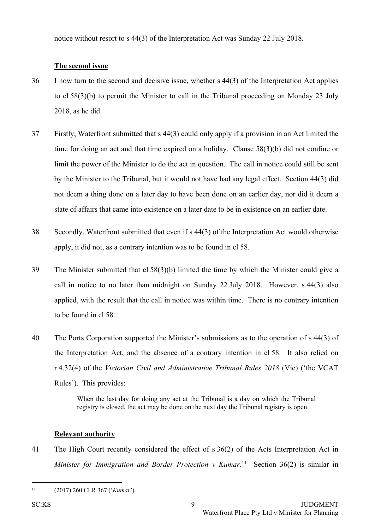notice without resort to s 44(3) of the Interpretation Act was Sunday 22 July 2018.

## **The second issue**

- 36 I now turn to the second and decisive issue, whether s 44(3) of the Interpretation Act applies to cl 58(3)(b) to permit the Minister to call in the Tribunal proceeding on Monday 23 July 2018, as he did.
- 37 Firstly, Waterfront submitted that s 44(3) could only apply if a provision in an Act limited the time for doing an act and that time expired on a holiday. Clause 58(3)(b) did not confine or limit the power of the Minister to do the act in question. The call in notice could still be sent by the Minister to the Tribunal, but it would not have had any legal effect. Section 44(3) did not deem a thing done on a later day to have been done on an earlier day, nor did it deem a state of affairs that came into existence on a later date to be in existence on an earlier date.
- 38 Secondly, Waterfront submitted that even if s 44(3) of the Interpretation Act would otherwise apply, it did not, as a contrary intention was to be found in cl 58.
- 39 The Minister submitted that cl 58(3)(b) limited the time by which the Minister could give a call in notice to no later than midnight on Sunday 22 July 2018. However, s 44(3) also applied, with the result that the call in notice was within time. There is no contrary intention to be found in cl 58.
- 40 The Ports Corporation supported the Minister's submissions as to the operation of s 44(3) of the Interpretation Act, and the absence of a contrary intention in cl 58. It also relied on r 4.32(4) of the *Victorian Civil and Administrative Tribunal Rules 2018* (Vic) ('the VCAT Rules'). This provides:

When the last day for doing any act at the Tribunal is a day on which the Tribunal registry is closed, the act may be done on the next day the Tribunal registry is open.

### **Relevant authority**

41 The High Court recently considered the effect of s 36(2) of the Acts Interpretation Act in *Minister for Immigration and Border Protection v Kumar*. 11 Section 36(2) is similar in

<sup>11</sup> (2017) 260 CLR 367 ('*Kumar*').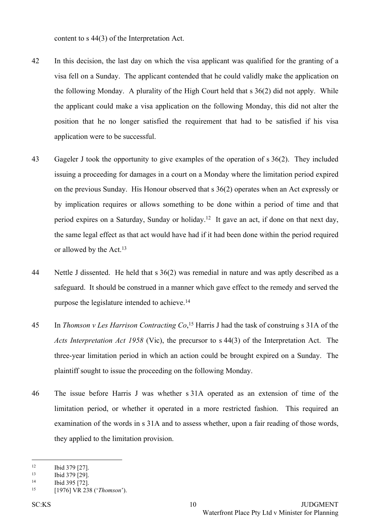content to s 44(3) of the Interpretation Act.

- 42 In this decision, the last day on which the visa applicant was qualified for the granting of a visa fell on a Sunday. The applicant contended that he could validly make the application on the following Monday. A plurality of the High Court held that s 36(2) did not apply. While the applicant could make a visa application on the following Monday, this did not alter the position that he no longer satisfied the requirement that had to be satisfied if his visa application were to be successful.
- 43 Gageler J took the opportunity to give examples of the operation of s 36(2). They included issuing a proceeding for damages in a court on a Monday where the limitation period expired on the previous Sunday. His Honour observed that s 36(2) operates when an Act expressly or by implication requires or allows something to be done within a period of time and that period expires on a Saturday, Sunday or holiday.<sup>12</sup> It gave an act, if done on that next day, the same legal effect as that act would have had if it had been done within the period required or allowed by the Act.<sup>13</sup>
- 44 Nettle J dissented. He held that s 36(2) was remedial in nature and was aptly described as a safeguard. It should be construed in a manner which gave effect to the remedy and served the purpose the legislature intended to achieve.<sup>14</sup>
- 45 In *Thomson v Les Harrison Contracting Co*, <sup>15</sup> Harris J had the task of construing s 31A of the *Acts Interpretation Act 1958* (Vic), the precursor to s 44(3) of the Interpretation Act. The three-year limitation period in which an action could be brought expired on a Sunday. The plaintiff sought to issue the proceeding on the following Monday.
- 46 The issue before Harris J was whether s 31A operated as an extension of time of the limitation period, or whether it operated in a more restricted fashion. This required an examination of the words in s 31A and to assess whether, upon a fair reading of those words, they applied to the limitation provision.

 $12$  Ibid 379 [27].<br>
13 Ibid 379 [20]

<sup>13</sup> Ibid 379 [29].

<sup>14</sup> Ibid 395 [72].

<sup>15</sup> [1976] VR 238 ('*Thomson*').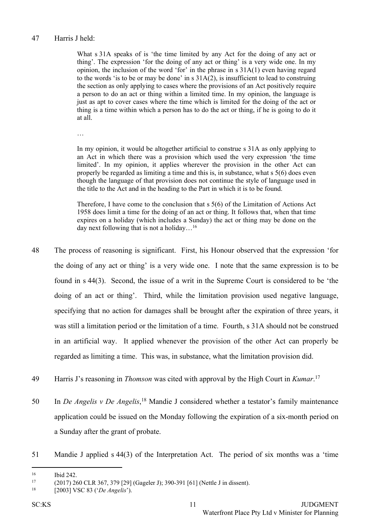### 47 Harris J held:

What s 31A speaks of is 'the time limited by any Act for the doing of any act or thing'. The expression 'for the doing of any act or thing' is a very wide one. In my opinion, the inclusion of the word 'for' in the phrase in s 31A(1) even having regard to the words 'is to be or may be done' in s 31A(2), is insufficient to lead to construing the section as only applying to cases where the provisions of an Act positively require a person to do an act or thing within a limited time. In my opinion, the language is just as apt to cover cases where the time which is limited for the doing of the act or thing is a time within which a person has to do the act or thing, if he is going to do it at all.

…

In my opinion, it would be altogether artificial to construe s 31A as only applying to an Act in which there was a provision which used the very expression 'the time limited'. In my opinion, it applies wherever the provision in the other Act can properly be regarded as limiting a time and this is, in substance, what s 5(6) does even though the language of that provision does not continue the style of language used in the title to the Act and in the heading to the Part in which it is to be found.

Therefore, I have come to the conclusion that s 5(6) of the Limitation of Actions Act 1958 does limit a time for the doing of an act or thing. It follows that, when that time expires on a holiday (which includes a Sunday) the act or thing may be done on the day next following that is not a holiday…<sup>16</sup>

- 48 The process of reasoning is significant. First, his Honour observed that the expression 'for the doing of any act or thing' is a very wide one. I note that the same expression is to be found in s 44(3). Second, the issue of a writ in the Supreme Court is considered to be 'the doing of an act or thing'. Third, while the limitation provision used negative language, specifying that no action for damages shall be brought after the expiration of three years, it was still a limitation period or the limitation of a time. Fourth, s 31A should not be construed in an artificial way. It applied whenever the provision of the other Act can properly be regarded as limiting a time. This was, in substance, what the limitation provision did.
- 49 Harris J's reasoning in *Thomson* was cited with approval by the High Court in *Kumar*. 17
- 50 In *De Angelis v De Angelis*, <sup>18</sup> Mandie J considered whether a testator's family maintenance application could be issued on the Monday following the expiration of a six-month period on a Sunday after the grant of probate.
- 51 Mandie J applied s 44(3) of the Interpretation Act. The period of six months was a 'time

<sup>16</sup> Ibid 242.

<sup>17</sup> (2017) 260 CLR 367, 379 [29] (Gageler J); 390-391 [61] (Nettle J in dissent).

<sup>18</sup> [2003] VSC 83 ('*De Angelis*').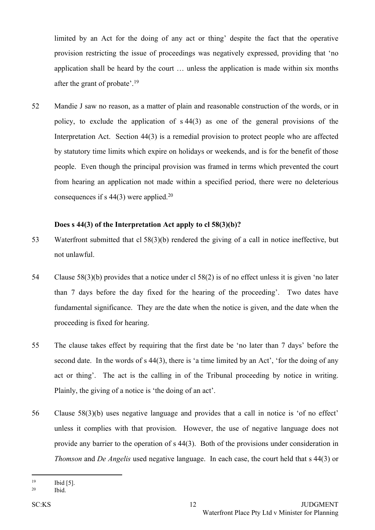limited by an Act for the doing of any act or thing' despite the fact that the operative provision restricting the issue of proceedings was negatively expressed, providing that 'no application shall be heard by the court … unless the application is made within six months after the grant of probate'.<sup>19</sup>

52 Mandie J saw no reason, as a matter of plain and reasonable construction of the words, or in policy, to exclude the application of s 44(3) as one of the general provisions of the Interpretation Act. Section 44(3) is a remedial provision to protect people who are affected by statutory time limits which expire on holidays or weekends, and is for the benefit of those people. Even though the principal provision was framed in terms which prevented the court from hearing an application not made within a specified period, there were no deleterious consequences if s 44(3) were applied.<sup>20</sup>

### **Does s 44(3) of the Interpretation Act apply to cl 58(3)(b)?**

- 53 Waterfront submitted that cl 58(3)(b) rendered the giving of a call in notice ineffective, but not unlawful.
- 54 Clause 58(3)(b) provides that a notice under cl 58(2) is of no effect unless it is given 'no later than 7 days before the day fixed for the hearing of the proceeding'. Two dates have fundamental significance. They are the date when the notice is given, and the date when the proceeding is fixed for hearing.
- 55 The clause takes effect by requiring that the first date be 'no later than 7 days' before the second date. In the words of s 44(3), there is 'a time limited by an Act', 'for the doing of any act or thing'. The act is the calling in of the Tribunal proceeding by notice in writing. Plainly, the giving of a notice is 'the doing of an act'.
- 56 Clause 58(3)(b) uses negative language and provides that a call in notice is 'of no effect' unless it complies with that provision. However, the use of negative language does not provide any barrier to the operation of s 44(3). Both of the provisions under consideration in *Thomson* and *De Angelis* used negative language. In each case, the court held that s 44(3) or

<sup>19</sup> Ibid [5].

<sup>20</sup> Ibid.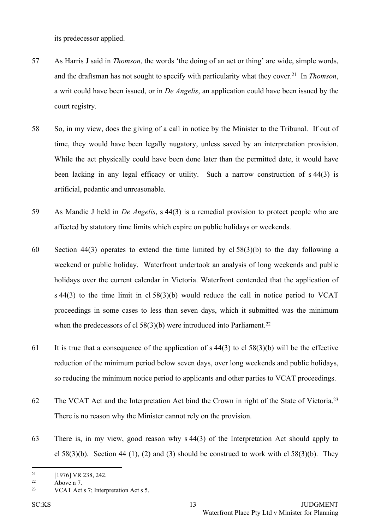its predecessor applied.

- 57 As Harris J said in *Thomson*, the words 'the doing of an act or thing' are wide, simple words, and the draftsman has not sought to specify with particularity what they cover.<sup>21</sup> In *Thomson*, a writ could have been issued, or in *De Angelis*, an application could have been issued by the court registry.
- 58 So, in my view, does the giving of a call in notice by the Minister to the Tribunal. If out of time, they would have been legally nugatory, unless saved by an interpretation provision. While the act physically could have been done later than the permitted date, it would have been lacking in any legal efficacy or utility. Such a narrow construction of s 44(3) is artificial, pedantic and unreasonable.
- 59 As Mandie J held in *De Angelis*, s 44(3) is a remedial provision to protect people who are affected by statutory time limits which expire on public holidays or weekends.
- 60 Section 44(3) operates to extend the time limited by cl 58(3)(b) to the day following a weekend or public holiday. Waterfront undertook an analysis of long weekends and public holidays over the current calendar in Victoria. Waterfront contended that the application of s 44(3) to the time limit in cl 58(3)(b) would reduce the call in notice period to VCAT proceedings in some cases to less than seven days, which it submitted was the minimum when the predecessors of cl  $58(3)(b)$  were introduced into Parliament.<sup>22</sup>
- 61 It is true that a consequence of the application of s  $44(3)$  to cl  $58(3)(b)$  will be the effective reduction of the minimum period below seven days, over long weekends and public holidays, so reducing the minimum notice period to applicants and other parties to VCAT proceedings.
- 62 The VCAT Act and the Interpretation Act bind the Crown in right of the State of Victoria.<sup>23</sup> There is no reason why the Minister cannot rely on the provision.
- 63 There is, in my view, good reason why s 44(3) of the Interpretation Act should apply to cl  $58(3)(b)$ . Section 44 (1), (2) and (3) should be construed to work with cl  $58(3)(b)$ . They

 $^{21}$  [1976] VR 238, 242.

<sup>22</sup> Above n 7.

<sup>23</sup> VCAT Act s 7; Interpretation Act s 5.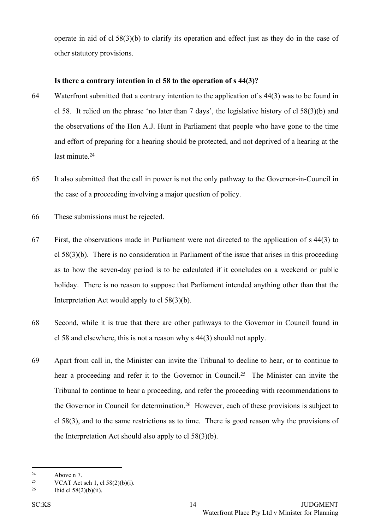operate in aid of cl 58(3)(b) to clarify its operation and effect just as they do in the case of other statutory provisions.

### **Is there a contrary intention in cl 58 to the operation of s 44(3)?**

- 64 Waterfront submitted that a contrary intention to the application of s 44(3) was to be found in cl 58. It relied on the phrase 'no later than 7 days', the legislative history of cl 58(3)(b) and the observations of the Hon A.J. Hunt in Parliament that people who have gone to the time and effort of preparing for a hearing should be protected, and not deprived of a hearing at the last minute.<sup>24</sup>
- 65 It also submitted that the call in power is not the only pathway to the Governor-in-Council in the case of a proceeding involving a major question of policy.
- 66 These submissions must be rejected.
- 67 First, the observations made in Parliament were not directed to the application of s 44(3) to cl 58(3)(b). There is no consideration in Parliament of the issue that arises in this proceeding as to how the seven-day period is to be calculated if it concludes on a weekend or public holiday. There is no reason to suppose that Parliament intended anything other than that the Interpretation Act would apply to cl 58(3)(b).
- 68 Second, while it is true that there are other pathways to the Governor in Council found in cl 58 and elsewhere, this is not a reason why s 44(3) should not apply.
- 69 Apart from call in, the Minister can invite the Tribunal to decline to hear, or to continue to hear a proceeding and refer it to the Governor in Council.<sup>25</sup> The Minister can invite the Tribunal to continue to hear a proceeding, and refer the proceeding with recommendations to the Governor in Council for determination.<sup>26</sup> However, each of these provisions is subject to cl 58(3), and to the same restrictions as to time. There is good reason why the provisions of the Interpretation Act should also apply to cl 58(3)(b).

 $24$  Above n 7.

<sup>&</sup>lt;sup>25</sup> VCAT Act sch 1, cl  $58(2)(b)(i)$ .

<sup>&</sup>lt;sup>26</sup> Ibid cl  $58(2)(b)(ii)$ .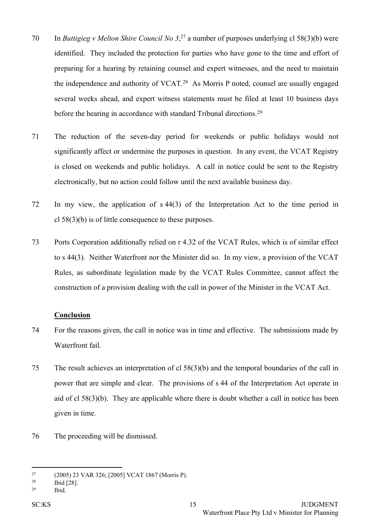- 70 In *Buttigieg v Melton Shire Council No 3*, <sup>27</sup> a number of purposes underlying cl 58(3)(b) were identified. They included the protection for parties who have gone to the time and effort of preparing for a hearing by retaining counsel and expert witnesses, and the need to maintain the independence and authority of VCAT.<sup>28</sup> As Morris P noted, counsel are usually engaged several weeks ahead, and expert witness statements must be filed at least 10 business days before the hearing in accordance with standard Tribunal directions.<sup>29</sup>
- 71 The reduction of the seven-day period for weekends or public holidays would not significantly affect or undermine the purposes in question. In any event, the VCAT Registry is closed on weekends and public holidays. A call in notice could be sent to the Registry electronically, but no action could follow until the next available business day.
- 72 In my view, the application of s 44(3) of the Interpretation Act to the time period in cl 58(3)(b) is of little consequence to these purposes.
- 73 Ports Corporation additionally relied on r 4.32 of the VCAT Rules, which is of similar effect to s 44(3). Neither Waterfront nor the Minister did so. In my view, a provision of the VCAT Rules, as subordinate legislation made by the VCAT Rules Committee, cannot affect the construction of a provision dealing with the call in power of the Minister in the VCAT Act.

### **Conclusion**

- 74 For the reasons given, the call in notice was in time and effective. The submissions made by Waterfront fail.
- 75 The result achieves an interpretation of cl 58(3)(b) and the temporal boundaries of the call in power that are simple and clear. The provisions of s 44 of the Interpretation Act operate in aid of cl 58(3)(b). They are applicable where there is doubt whether a call in notice has been given in time.
- 76 The proceeding will be dismissed.

<sup>27</sup> (2005) 23 VAR 326; [2005] VCAT 1867 (Morris P).

<sup>28</sup> Ibid [28].

<sup>29</sup> Ibid.